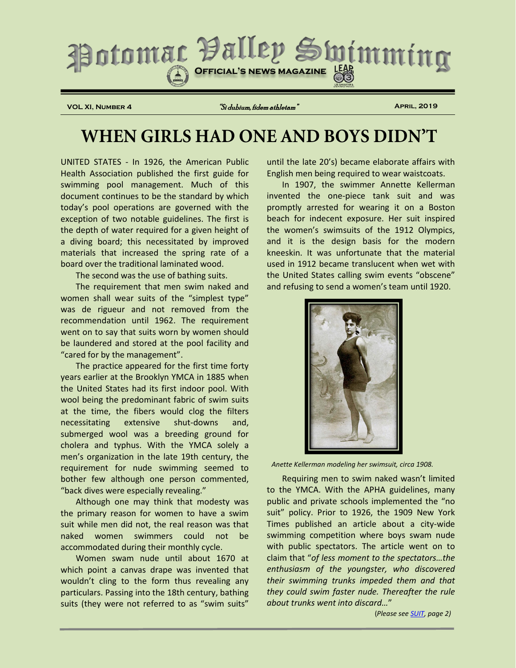

**VOL XI, Number 4** "Si dubium, fidem athletam" **April, 2019**

# **WHEN GIRLS HAD ONE AND BOYS DIDN'T**

UNITED STATES - In 1926, the American Public Health Association published the first guide for swimming pool management. Much of this document continues to be the standard by which today's pool operations are governed with the exception of two notable guidelines. The first is the depth of water required for a given height of a diving board; this necessitated by improved materials that increased the spring rate of a board over the traditional laminated wood.

The second was the use of bathing suits.

The requirement that men swim naked and women shall wear suits of the "simplest type" was de rigueur and not removed from the recommendation until 1962. The requirement went on to say that suits worn by women should be laundered and stored at the pool facility and "cared for by the management".

The practice appeared for the first time forty years earlier at the Brooklyn YMCA in 1885 when the United States had its first indoor pool. With wool being the predominant fabric of swim suits at the time, the fibers would clog the filters necessitating extensive shut-downs and, submerged wool was a breeding ground for cholera and typhus. With the YMCA solely a men's organization in the late 19th century, the requirement for nude swimming seemed to bother few although one person commented, "back dives were especially revealing."

Although one may think that modesty was the primary reason for women to have a swim suit while men did not, the real reason was that naked women swimmers could not be accommodated during their monthly cycle.

Women swam nude until about 1670 at which point a canvas drape was invented that wouldn't cling to the form thus revealing any particulars. Passing into the 18th century, bathing suits (they were not referred to as "swim suits"

until the late 20's) became elaborate affairs with English men being required to wear waistcoats.

In 1907, the swimmer Annette Kellerman invented the one-piece tank suit and was promptly arrested for wearing it on a Boston beach for indecent exposure. Her suit inspired the women's swimsuits of the 1912 Olympics, and it is the design basis for the modern kneeskin. It was unfortunate that the material used in 1912 became translucent when wet with the United States calling swim events "obscene" and refusing to send a women's team until 1920.



*Anette Kellerman modeling her swimsuit, circa 1908.*

Requiring men to swim naked wasn't limited to the YMCA. With the APHA guidelines, many public and private schools implemented the "no suit" policy. Prior to 1926, the 1909 New York Times published an article about a city-wide swimming competition where boys swam nude with public spectators. The article went on to claim that "*of less moment to the spectators…the enthusiasm of the youngster, who discovered their swimming trunks impeded them and that they could swim faster nude. Thereafter the rule about trunks went into discard…*"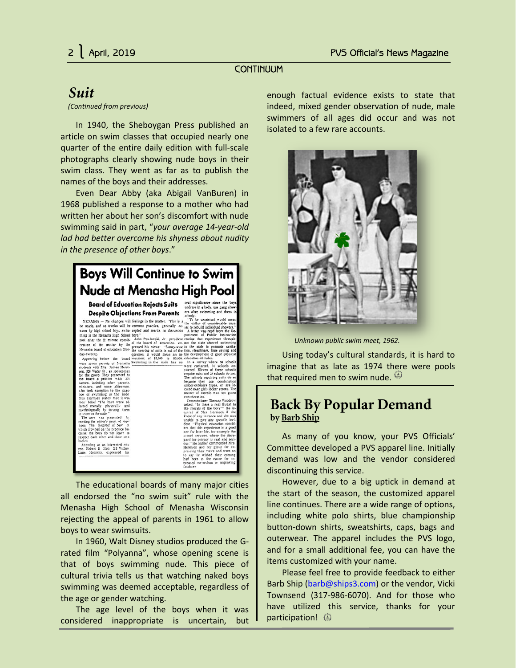### **CONTINUUM**

## <span id="page-1-0"></span>*Suit*

*(Continued from previous)*

In 1940, the Sheboygan Press published an article on swim classes that occupied nearly one quarter of the entire daily edition with full-scale photographs clearly showing nude boys in their swim class. They went as far as to publish the names of the boys and their addresses.

Even Dear Abby (aka Abigail VanBuren) in 1968 published a response to a mother who had written her about her son's discomfort with nude swimming said in part, "*your average 14-year-old lad had better overcome his shyness about nudity in the presence of other boys*."



The educational boards of many major cities all endorsed the "no swim suit" rule with the Menasha High School of Menasha Wisconsin rejecting the appeal of parents in 1961 to allow boys to wear swimsuits.

In 1960, Walt Disney studios produced the Grated film "Polyanna", whose opening scene is that of boys swimming nude. This piece of cultural trivia tells us that watching naked boys swimming was deemed acceptable, regardless of the age or gender watching.

The age level of the boys when it was considered inappropriate is uncertain, but enough factual evidence exists to state that indeed, mixed gender observation of nude, male swimmers of all ages did occur and was not isolated to a few rare accounts.



*Unknown public swim meet, 1962.*

Using today's cultural standards, it is hard to imagine that as late as 1974 there were pools that required men to swim nude.  $\Theta$ 

# **Back By Popular Demand by Barb Ship**

As many of you know, your PVS Officials' Committee developed a PVS apparel line. Initially demand was low and the vendor considered discontinuing this service.

However, due to a big uptick in demand at the start of the season, the customized apparel line continues. There are a wide range of options, including white polo shirts, blue championship button-down shirts, sweatshirts, caps, bags and outerwear. The apparel includes the PVS logo, and for a small additional fee, you can have the items customized with your name.

Please feel free to provide feedback to either Barb Ship [\(barb@ships3.com\)](mailto:barb@ships3.com) or the vendor, Vicki Townsend (317-986-6070). And for those who have utilized this service, thanks for your participation!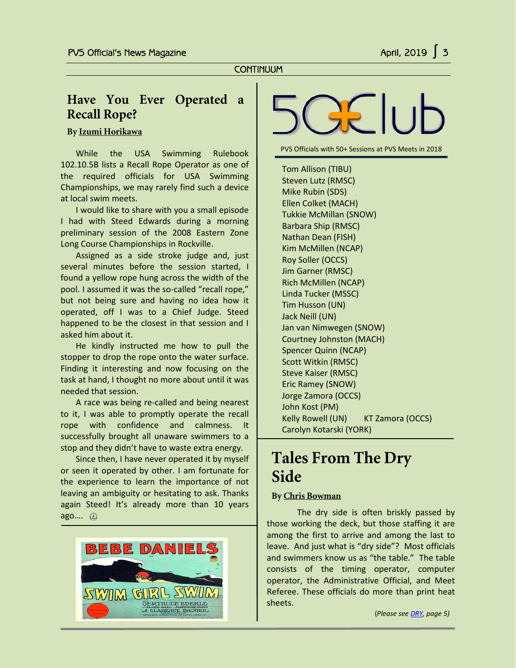# **Have You Ever Operated a Recall Rope?**

**By Izumi Horikawa**

ī

While the USA Swimming Rulebook 102.10.5B lists a Recall Rope Operator as one of the required officials for USA Swimming Championships, we may rarely find such a device at local swim meets.

I would like to share with you a small episode I had with Steed Edwards during a morning preliminary session of the 2008 Eastern Zone Long Course Championships in Rockville.

Assigned as a side stroke judge and, just several minutes before the session started, I found a yellow rope hung across the width of the pool. I assumed it was the so-called "recall rope," but not being sure and having no idea how it operated, off I was to a Chief Judge. Steed happened to be the closest in that session and I asked him about it.

He kindly instructed me how to pull the stopper to drop the rope onto the water surface. Finding it interesting and now focusing on the task at hand, I thought no more about until it was needed that session.

A race was being re-called and being nearest to it, I was able to promptly operate the recall rope with confidence and calmness. It successfully brought all unaware swimmers to a stop and they didn't have to waste extra energy.

Since then, I have never operated it by myself or seen it operated by other. I am fortunate for the experience to learn the importance of not leaving an ambiguity or hesitating to ask. Thanks again Steed! It's already more than 10 years ago….





PVS Officials with 50+ Sessions at PVS Meets in 2018

Tom Allison (TIBU) Steven Lutz (RMSC) Mike Rubin (SDS) Ellen Colket (MACH) Tukkie McMillan (SNOW) Barbara Ship (RMSC) Nathan Dean (FISH) Kim McMillen (NCAP) Roy Soller (OCCS) Jim Garner (RMSC) Rich McMillen (NCAP) Linda Tucker (MSSC) Tim Husson (UN) Jack Neill (UN) Jan van Nimwegen (SNOW) Courtney Johnston (MACH) Spencer Quinn (NCAP) Scott Witkin (RMSC) Steve Kaiser (RMSC) Eric Ramey (SNOW) Jorge Zamora (OCCS) John Kost (PM) Kelly Rowell (UN) KT Zamora (OCCS) Carolyn Kotarski (YORK)

# **Tales From The Dry Side**

#### **By Chris Bowman**

The dry side is often briskly passed by those working the deck, but those staffing it are among the first to arrive and among the last to leave. And just what is "dry side"? Most officials and swimmers know us as "the table." The table consists of the timing operator, computer operator, the Administrative Official, and Meet Referee. These officials do more than print heat sheets.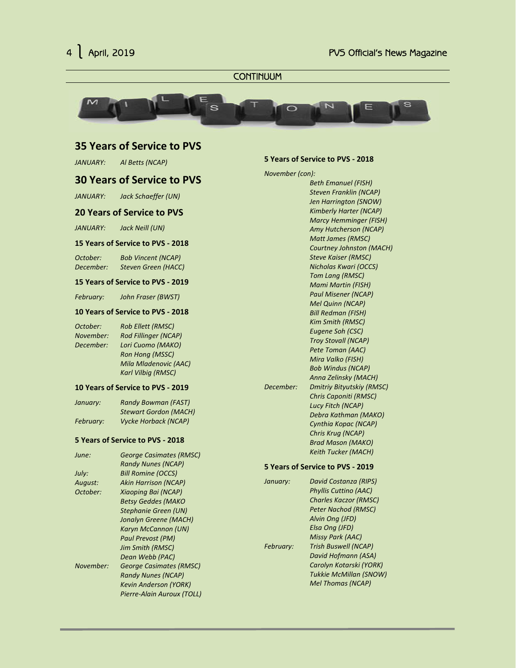

#### **CONTINUUM**



### **35 Years of Service to PVS**

*JANUARY: Al Betts (NCAP)*

#### **30 Years of Service to PVS**

*JANUARY: Jack Schaeffer (UN)*

#### **20 Years of Service to PVS**

*JANUARY: Jack Neill (UN)*

#### **15 Years of Service to PVS - 2018**

*October: Bob Vincent (NCAP) December: Steven Green (HACC)*

#### **15 Years of Service to PVS - 2019**

*February: John Fraser (BWST)*

#### **10 Years of Service to PVS - 2018**

*October: Rob Ellett (RMSC) November: Rod Fillinger (NCAP) December: Lori Cuomo (MAKO) Ron Hong (MSSC) Mila Mladenovic (AAC) Karl Vilbig (RMSC)*

#### **10 Years of Service to PVS - 2019**

| January:  | <b>Randy Bowman (FAST)</b>   |  |
|-----------|------------------------------|--|
|           | <b>Stewart Gordon (MACH)</b> |  |
| February: | <b>Vycke Horback (NCAP)</b>  |  |

#### **5 Years of Service to PVS - 2018**

| June:     | <b>George Casimates (RMSC)</b> |
|-----------|--------------------------------|
|           | <b>Randy Nunes (NCAP)</b>      |
| July:     | <b>Bill Romine (OCCS)</b>      |
| August:   | <b>Akin Harrison (NCAP)</b>    |
| October:  | Xiaoping Bai (NCAP)            |
|           | <b>Betsy Geddes (MAKO</b>      |
|           | Stephanie Green (UN)           |
|           | Jonalyn Greene (MACH)          |
|           | Karyn McCannon (UN)            |
|           | Paul Prevost (PM)              |
|           | <b>Jim Smith (RMSC)</b>        |
|           | Dean Webb (PAC)                |
| November: | <b>George Casimates (RMSC)</b> |
|           | <b>Randy Nunes (NCAP)</b>      |
|           | <b>Kevin Anderson (YORK)</b>   |
|           | Pierre-Alain Auroux (TOLL)     |

#### **5 Years of Service to PVS - 2018**

#### *November (con):*

*Beth Emanuel (FISH) Steven Franklin (NCAP) Jen Harrington (SNOW) Kimberly Harter (NCAP) Marcy Hemminger (FISH) Amy Hutcherson (NCAP) Matt James (RMSC) Courtney Johnston (MACH) Steve Kaiser (RMSC) Nicholas Kwari (OCCS) Tom Lang (RMSC) Mami Martin (FISH) Paul Misener (NCAP) Mel Quinn (NCAP) Bill Redman (FISH) Kim Smith (RMSC) Eugene Soh (CSC) Troy Stovall (NCAP) Pete Toman (AAC) Mira Valko (FISH) Bob Windus (NCAP) Anna Zelinsky (MACH) December: Dmitriy Bityutskiy (RMSC) Chris Caponiti (RMSC) Lucy Fitch (NCAP) Debra Kathman (MAKO) Cynthia Kopac (NCAP) Chris Krug (NCAP) Brad Mason (MAKO) Keith Tucker (MACH)*

#### **5 Years of Service to PVS - 2019**

| January:  | David Costanza (RIPS)         |
|-----------|-------------------------------|
|           | <b>Phyllis Cuttino (AAC)</b>  |
|           | <b>Charles Kaczor (RMSC)</b>  |
|           | <b>Peter Nachod (RMSC)</b>    |
|           | Alvin Ong (JFD)               |
|           | Elsa Ong (JFD)                |
|           | <b>Missy Park (AAC)</b>       |
| February: | <b>Trish Buswell (NCAP)</b>   |
|           | David Hofmann (ASA)           |
|           | Carolyn Kotarski (YORK)       |
|           | <b>Tukkie McMillan (SNOW)</b> |
|           | <b>Mel Thomas (NCAP)</b>      |
|           |                               |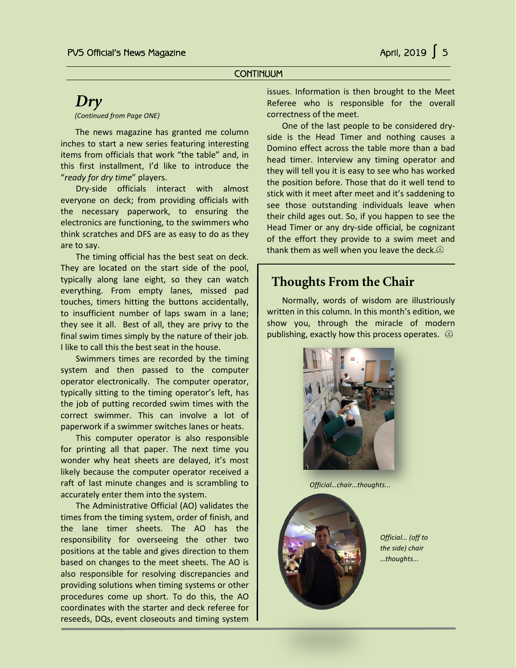#### **CONTINUUM**

# *Dry*

*(Continued from Page ONE)*

<span id="page-4-0"></span> The news magazine has granted me column inches to start a new series featuring interesting items from officials that work "the table" and, in this first installment, I'd like to introduce the "*ready for dry time*" players.

Dry-side officials interact with almost everyone on deck; from providing officials with the necessary paperwork, to ensuring the electronics are functioning, to the swimmers who think scratches and DFS are as easy to do as they are to say.

The timing official has the best seat on deck. They are located on the start side of the pool, typically along lane eight, so they can watch everything. From empty lanes, missed pad touches, timers hitting the buttons accidentally, to insufficient number of laps swam in a lane; they see it all. Best of all, they are privy to the final swim times simply by the nature of their job. I like to call this the best seat in the house.

Swimmers times are recorded by the timing system and then passed to the computer operator electronically. The computer operator, typically sitting to the timing operator's left, has the job of putting recorded swim times with the correct swimmer. This can involve a lot of paperwork if a swimmer switches lanes or heats.

This computer operator is also responsible for printing all that paper. The next time you wonder why heat sheets are delayed, it's most likely because the computer operator received a raft of last minute changes and is scrambling to accurately enter them into the system.

The Administrative Official (AO) validates the times from the timing system, order of finish, and the lane timer sheets. The AO has the responsibility for overseeing the other two positions at the table and gives direction to them based on changes to the meet sheets. The AO is also responsible for resolving discrepancies and providing solutions when timing systems or other procedures come up short. To do this, the AO coordinates with the starter and deck referee for reseeds, DQs, event closeouts and timing system

issues. Information is then brought to the Meet Referee who is responsible for the overall correctness of the meet.

One of the last people to be considered dryside is the Head Timer and nothing causes a Domino effect across the table more than a bad head timer. Interview any timing operator and they will tell you it is easy to see who has worked the position before. Those that do it well tend to stick with it meet after meet and it's saddening to see those outstanding individuals leave when their child ages out. So, if you happen to see the Head Timer or any dry-side official, be cognizant of the effort they provide to a swim meet and thank them as well when you leave the deck.

# **Thoughts From the Chair**

Normally, words of wisdom are illustriously written in this column. In this month's edition, we show you, through the miracle of modern publishing, exactly how this process operates.  $\bigcirc$ 



*Official…chair…thoughts...*



*Official… (off to the side) chair …thoughts...*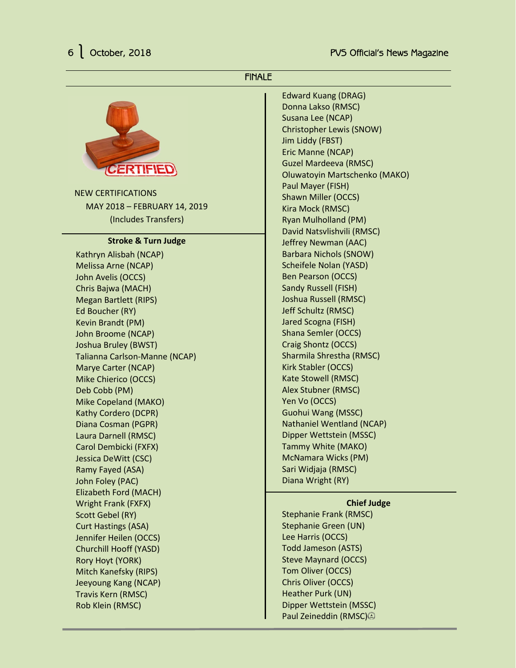### FINALE



NEW CERTIFICATIONS MAY 2018 – FEBRUARY 14, 2019 (Includes Transfers)

#### **Stroke & Turn Judge**

Kathryn Alisbah (NCAP) Melissa Arne (NCAP) John Avelis (OCCS) Chris Bajwa (MACH) Megan Bartlett (RIPS) Ed Boucher (RY) Kevin Brandt (PM) John Broome (NCAP) Joshua Bruley (BWST) Talianna Carlson-Manne (NCAP) Marye Carter (NCAP) Mike Chierico (OCCS) Deb Cobb (PM) Mike Copeland (MAKO) Kathy Cordero (DCPR) Diana Cosman (PGPR) Laura Darnell (RMSC) Carol Dembicki (FXFX) Jessica DeWitt (CSC) Ramy Fayed (ASA) John Foley (PAC) Elizabeth Ford (MACH) Wright Frank (FXFX) Scott Gebel (RY) Curt Hastings (ASA) Jennifer Heilen (OCCS) Churchill Hooff (YASD) Rory Hoyt (YORK) Mitch Kanefsky (RIPS) Jeeyoung Kang (NCAP) Travis Kern (RMSC) Rob Klein (RMSC)

Edward Kuang (DRAG) Donna Lakso (RMSC) Susana Lee (NCAP) Christopher Lewis (SNOW) Jim Liddy (FBST) Eric Manne (NCAP) Guzel Mardeeva (RMSC) Oluwatoyin Martschenko (MAKO) Paul Mayer (FISH) Shawn Miller (OCCS) Kira Mock (RMSC) Ryan Mulholland (PM) David Natsvlishvili (RMSC) Jeffrey Newman (AAC) Barbara Nichols (SNOW) Scheifele Nolan (YASD) Ben Pearson (OCCS) Sandy Russell (FISH) Joshua Russell (RMSC) Jeff Schultz (RMSC) Jared Scogna (FISH) Shana Semler (OCCS) Craig Shontz (OCCS) Sharmila Shrestha (RMSC) Kirk Stabler (OCCS) Kate Stowell (RMSC) Alex Stubner (RMSC) Yen Vo (OCCS) Guohui Wang (MSSC) Nathaniel Wentland (NCAP) Dipper Wettstein (MSSC) Tammy White (MAKO) McNamara Wicks (PM) Sari Widjaja (RMSC) Diana Wright (RY)

#### **Chief Judge**

Stephanie Frank (RMSC) Stephanie Green (UN) Lee Harris (OCCS) Todd Jameson (ASTS) Steve Maynard (OCCS) Tom Oliver (OCCS) Chris Oliver (OCCS) Heather Purk (UN) Dipper Wettstein (MSSC) Paul Zeineddin (RMSC)